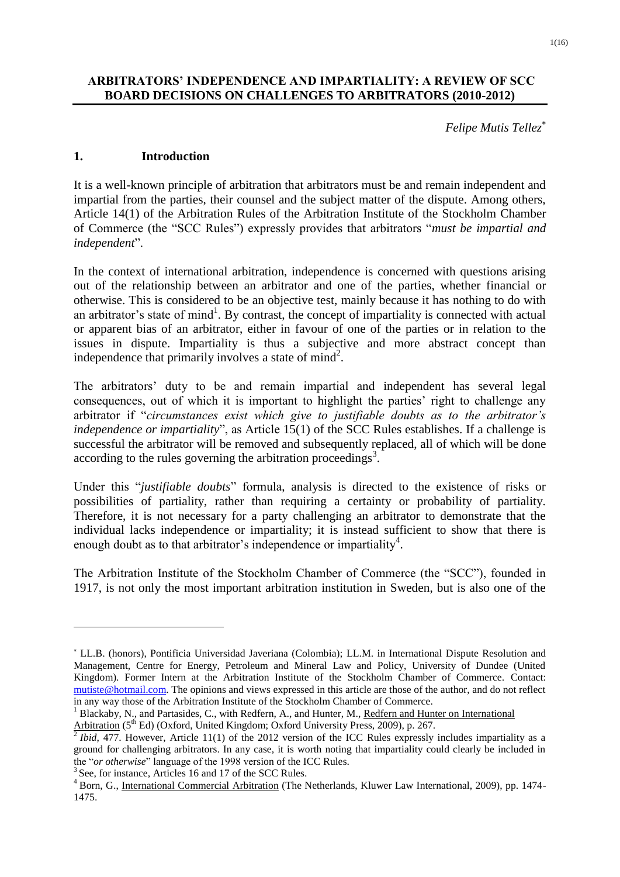## **ARBITRATORS' INDEPENDENCE AND IMPARTIALITY: A REVIEW OF SCC BOARD DECISIONS ON CHALLENGES TO ARBITRATORS (2010-2012)**

*Felipe Mutis Tellez*

#### **1. Introduction**

It is a well-known principle of arbitration that arbitrators must be and remain independent and impartial from the parties, their counsel and the subject matter of the dispute. Among others, Article 14(1) of the Arbitration Rules of the Arbitration Institute of the Stockholm Chamber of Commerce (the "SCC Rules") expressly provides that arbitrators "*must be impartial and independent*".

In the context of international arbitration, independence is concerned with questions arising out of the relationship between an arbitrator and one of the parties, whether financial or otherwise. This is considered to be an objective test, mainly because it has nothing to do with an arbitrator's state of mind<sup>1</sup>. By contrast, the concept of impartiality is connected with actual or apparent bias of an arbitrator, either in favour of one of the parties or in relation to the issues in dispute. Impartiality is thus a subjective and more abstract concept than independence that primarily involves a state of  $mind^2$ .

The arbitrators' duty to be and remain impartial and independent has several legal consequences, out of which it is important to highlight the parties' right to challenge any arbitrator if "*circumstances exist which give to justifiable doubts as to the arbitrator's independence or impartiality*", as Article 15(1) of the SCC Rules establishes. If a challenge is successful the arbitrator will be removed and subsequently replaced, all of which will be done according to the rules governing the arbitration proceedings<sup>3</sup>.

Under this "*justifiable doubts*" formula, analysis is directed to the existence of risks or possibilities of partiality, rather than requiring a certainty or probability of partiality. Therefore, it is not necessary for a party challenging an arbitrator to demonstrate that the individual lacks independence or impartiality; it is instead sufficient to show that there is enough doubt as to that arbitrator's independence or impartiality<sup>4</sup>.

The Arbitration Institute of the Stockholm Chamber of Commerce (the "SCC"), founded in 1917, is not only the most important arbitration institution in Sweden, but is also one of the

1

LL.B. (honors), Pontificia Universidad Javeriana (Colombia); LL.M. in International Dispute Resolution and Management, Centre for Energy, Petroleum and Mineral Law and Policy, University of Dundee (United Kingdom). Former Intern at the Arbitration Institute of the Stockholm Chamber of Commerce. Contact: [mutiste@hotmail.com.](mailto:mutiste@hotmail.com) The opinions and views expressed in this article are those of the author, and do not reflect in any way those of the Arbitration Institute of the Stockholm Chamber of Commerce.

<sup>&</sup>lt;sup>1</sup> Blackaby, N., and Partasides, C., with Redfern, A., and Hunter, M., Redfern and Hunter on International

Arbitration (5<sup>th</sup> Ed) (Oxford, United Kingdom; Oxford University Press, 2009), p. 267.<br><sup>2</sup> Ibid, 477. However, Article 11(1) of the 2012 version of the ICC Rules expressly includes impartiality as a ground for challenging arbitrators. In any case, it is worth noting that impartiality could clearly be included in the "*or otherwise*" language of the 1998 version of the ICC Rules.

<sup>&</sup>lt;sup>3</sup> See, for instance, Articles 16 and 17 of the SCC Rules.

<sup>4</sup> Born, G., International Commercial Arbitration (The Netherlands, Kluwer Law International, 2009), pp. 1474- 1475.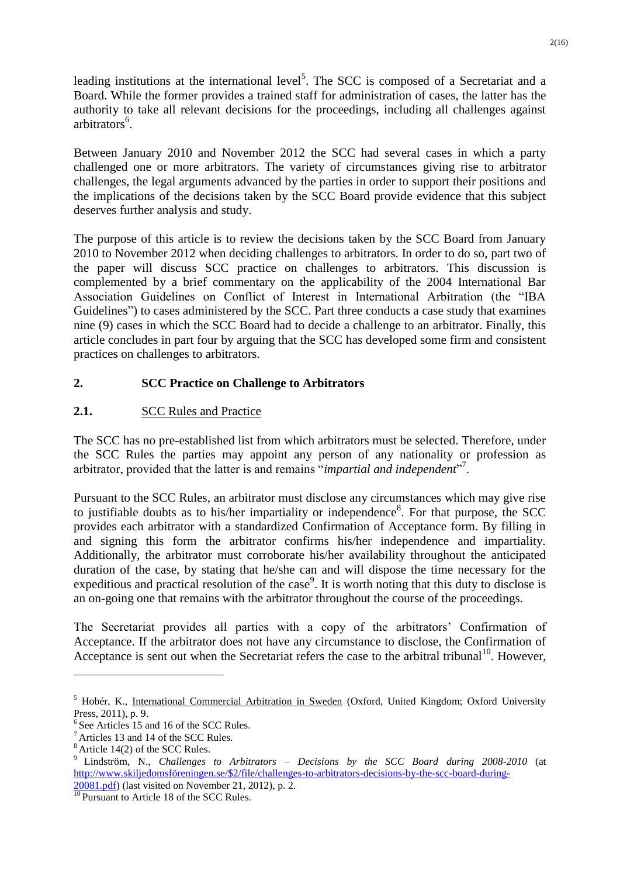leading institutions at the international level<sup>5</sup>. The SCC is composed of a Secretariat and a Board. While the former provides a trained staff for administration of cases, the latter has the authority to take all relevant decisions for the proceedings, including all challenges against arbitrators<sup>6</sup>.

Between January 2010 and November 2012 the SCC had several cases in which a party challenged one or more arbitrators. The variety of circumstances giving rise to arbitrator challenges, the legal arguments advanced by the parties in order to support their positions and the implications of the decisions taken by the SCC Board provide evidence that this subject deserves further analysis and study.

The purpose of this article is to review the decisions taken by the SCC Board from January 2010 to November 2012 when deciding challenges to arbitrators. In order to do so, part two of the paper will discuss SCC practice on challenges to arbitrators. This discussion is complemented by a brief commentary on the applicability of the 2004 International Bar Association Guidelines on Conflict of Interest in International Arbitration (the "IBA Guidelines") to cases administered by the SCC. Part three conducts a case study that examines nine (9) cases in which the SCC Board had to decide a challenge to an arbitrator. Finally, this article concludes in part four by arguing that the SCC has developed some firm and consistent practices on challenges to arbitrators.

## **2. SCC Practice on Challenge to Arbitrators**

## **2.1.** SCC Rules and Practice

The SCC has no pre-established list from which arbitrators must be selected. Therefore, under the SCC Rules the parties may appoint any person of any nationality or profession as arbitrator, provided that the latter is and remains "*impartial and independent*" 7 .

Pursuant to the SCC Rules, an arbitrator must disclose any circumstances which may give rise to justifiable doubts as to his/her impartiality or independence<sup>8</sup>. For that purpose, the SCC provides each arbitrator with a standardized Confirmation of Acceptance form. By filling in and signing this form the arbitrator confirms his/her independence and impartiality. Additionally, the arbitrator must corroborate his/her availability throughout the anticipated duration of the case, by stating that he/she can and will dispose the time necessary for the expeditious and practical resolution of the case<sup>9</sup>. It is worth noting that this duty to disclose is an on-going one that remains with the arbitrator throughout the course of the proceedings.

The Secretariat provides all parties with a copy of the arbitrators' Confirmation of Acceptance. If the arbitrator does not have any circumstance to disclose, the Confirmation of Acceptance is sent out when the Secretariat refers the case to the arbitral tribunal<sup>10</sup>. However,

<u>.</u>

<sup>&</sup>lt;sup>5</sup> Hobér, K., International Commercial Arbitration in Sweden (Oxford, United Kingdom; Oxford University Press, 2011), p. 9.

<sup>6</sup> See Articles 15 and 16 of the SCC Rules.

<sup>7</sup> Articles 13 and 14 of the SCC Rules.

 $8 \text{ Article } 14(2)$  of the SCC Rules.

<sup>9</sup> Lindström, N., *Challenges to Arbitrators – Decisions by the SCC Board during 2008-2010* (at [http://www.skiljedomsföreningen.se/\\$2/file/challenges-to-arbitrators-decisions-by-the-scc-board-during-](http://www.skiljedomsföreningen.se/$2/file/challenges-to-arbitrators-decisions-by-the-scc-board-during-20081.pdf)

[<sup>20081.</sup>pdf\)](http://www.skiljedomsföreningen.se/$2/file/challenges-to-arbitrators-decisions-by-the-scc-board-during-20081.pdf) (last visited on November 21, 2012), p. 2.

<sup>&</sup>lt;sup>10</sup> Pursuant to Article 18 of the SCC Rules.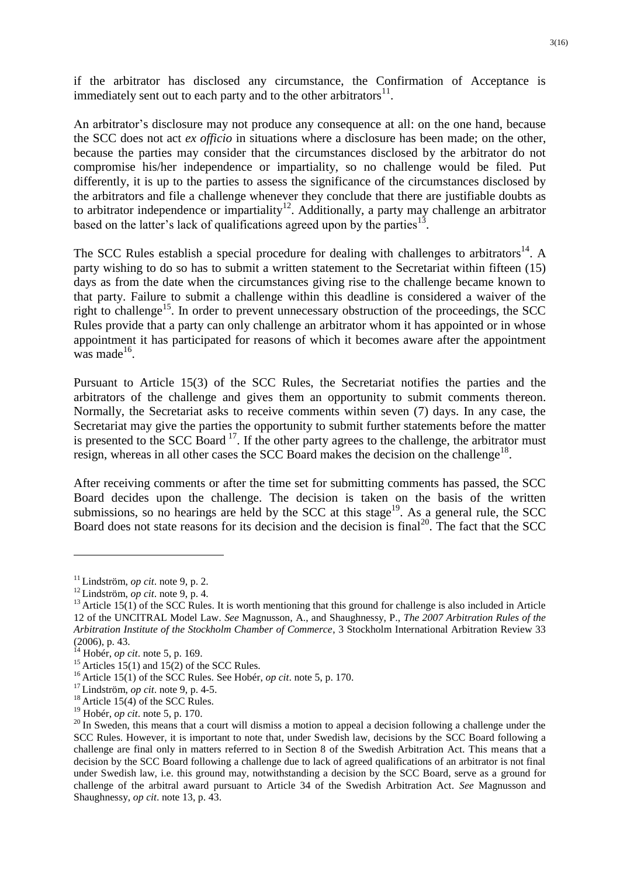if the arbitrator has disclosed any circumstance, the Confirmation of Acceptance is immediately sent out to each party and to the other arbitrators $^{11}$ .

An arbitrator's disclosure may not produce any consequence at all: on the one hand, because the SCC does not act *ex officio* in situations where a disclosure has been made; on the other, because the parties may consider that the circumstances disclosed by the arbitrator do not compromise his/her independence or impartiality, so no challenge would be filed. Put differently, it is up to the parties to assess the significance of the circumstances disclosed by the arbitrators and file a challenge whenever they conclude that there are justifiable doubts as to arbitrator independence or impartiality<sup>12</sup>. Additionally, a party may challenge an arbitrator based on the latter's lack of qualifications agreed upon by the parties $^{13}$ .

The SCC Rules establish a special procedure for dealing with challenges to arbitrators<sup>14</sup>. A party wishing to do so has to submit a written statement to the Secretariat within fifteen (15) days as from the date when the circumstances giving rise to the challenge became known to that party. Failure to submit a challenge within this deadline is considered a waiver of the right to challenge<sup>15</sup>. In order to prevent unnecessary obstruction of the proceedings, the SCC Rules provide that a party can only challenge an arbitrator whom it has appointed or in whose appointment it has participated for reasons of which it becomes aware after the appointment was made $^{16}$ .

Pursuant to Article 15(3) of the SCC Rules, the Secretariat notifies the parties and the arbitrators of the challenge and gives them an opportunity to submit comments thereon. Normally, the Secretariat asks to receive comments within seven (7) days. In any case, the Secretariat may give the parties the opportunity to submit further statements before the matter is presented to the SCC Board  $^{17}$ . If the other party agrees to the challenge, the arbitrator must resign, whereas in all other cases the SCC Board makes the decision on the challenge<sup>18</sup>.

After receiving comments or after the time set for submitting comments has passed, the SCC Board decides upon the challenge. The decision is taken on the basis of the written submissions, so no hearings are held by the SCC at this stage<sup>19</sup>. As a general rule, the SCC Board does not state reasons for its decision and the decision is final<sup>20</sup>. The fact that the SCC

<u>.</u>

 $11$  Lindström, *op cit*. note 9, p. 2.

<sup>12</sup> Lindström, *op cit*. note 9, p. 4.

 $13$  Article 15(1) of the SCC Rules. It is worth mentioning that this ground for challenge is also included in Article 12 of the UNCITRAL Model Law. *See* Magnusson, A., and Shaughnessy, P., *The 2007 Arbitration Rules of the Arbitration Institute of the Stockholm Chamber of Commerce*, 3 Stockholm International Arbitration Review 33 (2006), p. 43.

<sup>14</sup> Hobér, *op cit*. note 5, p. 169.

<sup>&</sup>lt;sup>15</sup> Articles 15(1) and 15(2) of the SCC Rules.

<sup>16</sup> Article 15(1) of the SCC Rules. See Hobér, *op cit*. note 5, p. 170.

<sup>17</sup> Lindström, *op cit*. note 9, p. 4-5.

 $18$  Article 15(4) of the SCC Rules.

<sup>19</sup> Hobér, *op cit*. note 5, p. 170.

 $20$  In Sweden, this means that a court will dismiss a motion to appeal a decision following a challenge under the SCC Rules. However, it is important to note that, under Swedish law, decisions by the SCC Board following a challenge are final only in matters referred to in Section 8 of the Swedish Arbitration Act. This means that a decision by the SCC Board following a challenge due to lack of agreed qualifications of an arbitrator is not final under Swedish law, i.e. this ground may, notwithstanding a decision by the SCC Board, serve as a ground for challenge of the arbitral award pursuant to Article 34 of the Swedish Arbitration Act. *See* Magnusson and Shaughnessy, *op cit*. note 13, p. 43.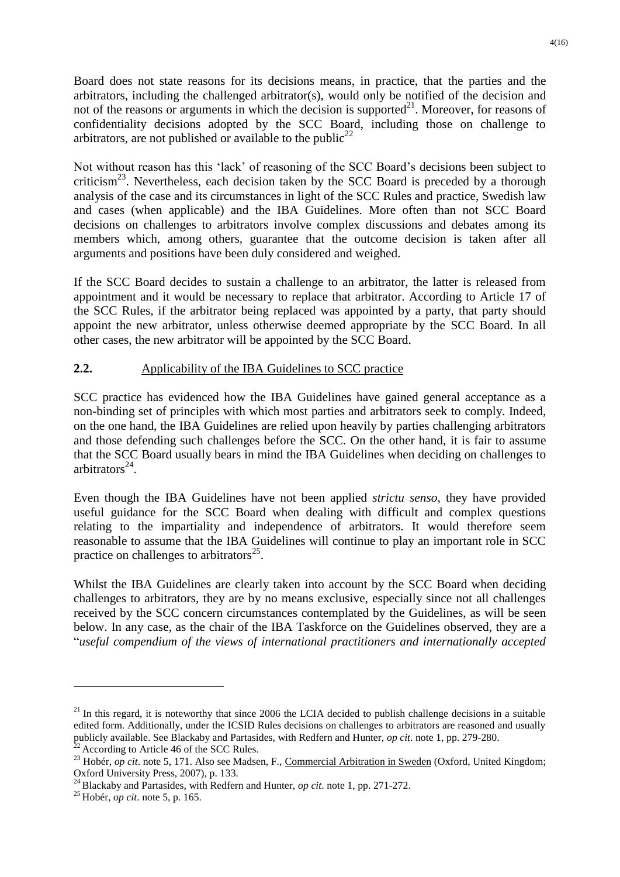Board does not state reasons for its decisions means, in practice, that the parties and the arbitrators, including the challenged arbitrator(s), would only be notified of the decision and not of the reasons or arguments in which the decision is supported $^{21}$ . Moreover, for reasons of confidentiality decisions adopted by the SCC Board, including those on challenge to arbitrators, are not published or available to the public<sup>22</sup>

Not without reason has this 'lack' of reasoning of the SCC Board's decisions been subject to criticism<sup>23</sup>. Nevertheless, each decision taken by the SCC Board is preceded by a thorough analysis of the case and its circumstances in light of the SCC Rules and practice, Swedish law and cases (when applicable) and the IBA Guidelines. More often than not SCC Board decisions on challenges to arbitrators involve complex discussions and debates among its members which, among others, guarantee that the outcome decision is taken after all arguments and positions have been duly considered and weighed.

If the SCC Board decides to sustain a challenge to an arbitrator, the latter is released from appointment and it would be necessary to replace that arbitrator. According to Article 17 of the SCC Rules, if the arbitrator being replaced was appointed by a party, that party should appoint the new arbitrator, unless otherwise deemed appropriate by the SCC Board. In all other cases, the new arbitrator will be appointed by the SCC Board.

## **2.2.** Applicability of the IBA Guidelines to SCC practice

SCC practice has evidenced how the IBA Guidelines have gained general acceptance as a non-binding set of principles with which most parties and arbitrators seek to comply. Indeed, on the one hand, the IBA Guidelines are relied upon heavily by parties challenging arbitrators and those defending such challenges before the SCC. On the other hand, it is fair to assume that the SCC Board usually bears in mind the IBA Guidelines when deciding on challenges to arbitrators $^{24}$ .

Even though the IBA Guidelines have not been applied *strictu senso*, they have provided useful guidance for the SCC Board when dealing with difficult and complex questions relating to the impartiality and independence of arbitrators. It would therefore seem reasonable to assume that the IBA Guidelines will continue to play an important role in SCC practice on challenges to arbitrators<sup>25</sup>.

Whilst the IBA Guidelines are clearly taken into account by the SCC Board when deciding challenges to arbitrators, they are by no means exclusive, especially since not all challenges received by the SCC concern circumstances contemplated by the Guidelines, as will be seen below. In any case, as the chair of the IBA Taskforce on the Guidelines observed, they are a "*useful compendium of the views of international practitioners and internationally accepted* 

<u>.</u>

 $^{21}$  In this regard, it is noteworthy that since 2006 the LCIA decided to publish challenge decisions in a suitable edited form. Additionally, under the ICSID Rules decisions on challenges to arbitrators are reasoned and usually publicly available. See Blackaby and Partasides, with Redfern and Hunter, *op cit*. note 1, pp. 279-280. According to Article 46 of the SCC Rules.

<sup>&</sup>lt;sup>23</sup> Hobér, *op cit*. note 5, 171. Also see Madsen, F., Commercial Arbitration in Sweden (Oxford, United Kingdom; Oxford University Press, 2007), p. 133.

<sup>24</sup> Blackaby and Partasides, with Redfern and Hunter, *op cit*. note 1, pp. 271-272.

<sup>25</sup> Hobér, *op cit*. note 5, p. 165.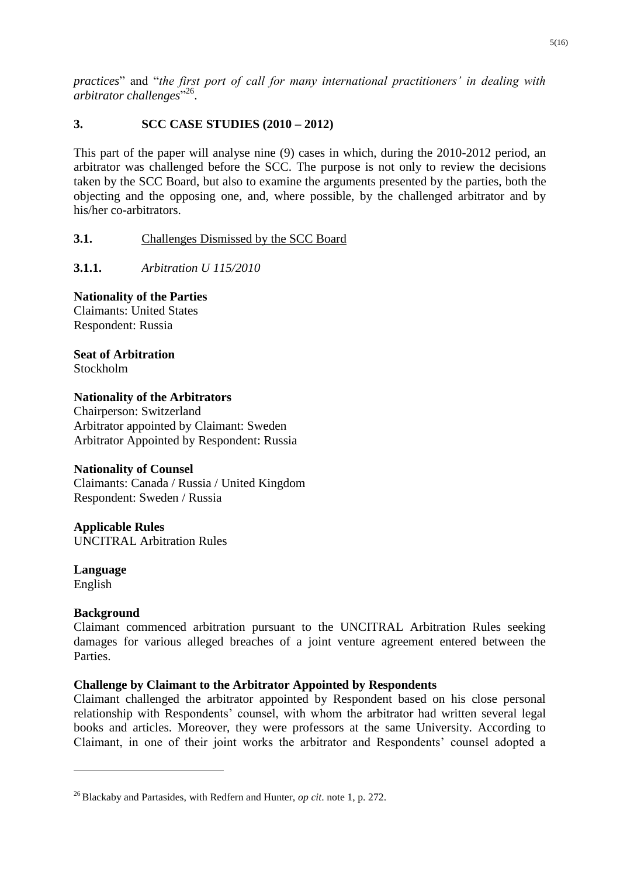*practices*" and "*the first port of call for many international practitioners' in dealing with*  arbitrator challenges<sup>",26</sup>.

## **3. SCC CASE STUDIES (2010 – 2012)**

This part of the paper will analyse nine (9) cases in which, during the 2010-2012 period, an arbitrator was challenged before the SCC. The purpose is not only to review the decisions taken by the SCC Board, but also to examine the arguments presented by the parties, both the objecting and the opposing one, and, where possible, by the challenged arbitrator and by his/her co-arbitrators.

## **3.1.** Challenges Dismissed by the SCC Board

**3.1.1.** *Arbitration U 115/2010*

## **Nationality of the Parties**

Claimants: United States Respondent: Russia

**Seat of Arbitration** Stockholm

## **Nationality of the Arbitrators**

Chairperson: Switzerland Arbitrator appointed by Claimant: Sweden Arbitrator Appointed by Respondent: Russia

## **Nationality of Counsel**

Claimants: Canada / Russia / United Kingdom Respondent: Sweden / Russia

## **Applicable Rules**

UNCITRAL Arbitration Rules

**Language** English

## **Background**

1

Claimant commenced arbitration pursuant to the UNCITRAL Arbitration Rules seeking damages for various alleged breaches of a joint venture agreement entered between the **Parties** 

## **Challenge by Claimant to the Arbitrator Appointed by Respondents**

Claimant challenged the arbitrator appointed by Respondent based on his close personal relationship with Respondents' counsel, with whom the arbitrator had written several legal books and articles. Moreover, they were professors at the same University. According to Claimant, in one of their joint works the arbitrator and Respondents' counsel adopted a

<sup>26</sup> Blackaby and Partasides, with Redfern and Hunter, *op cit*. note 1, p. 272.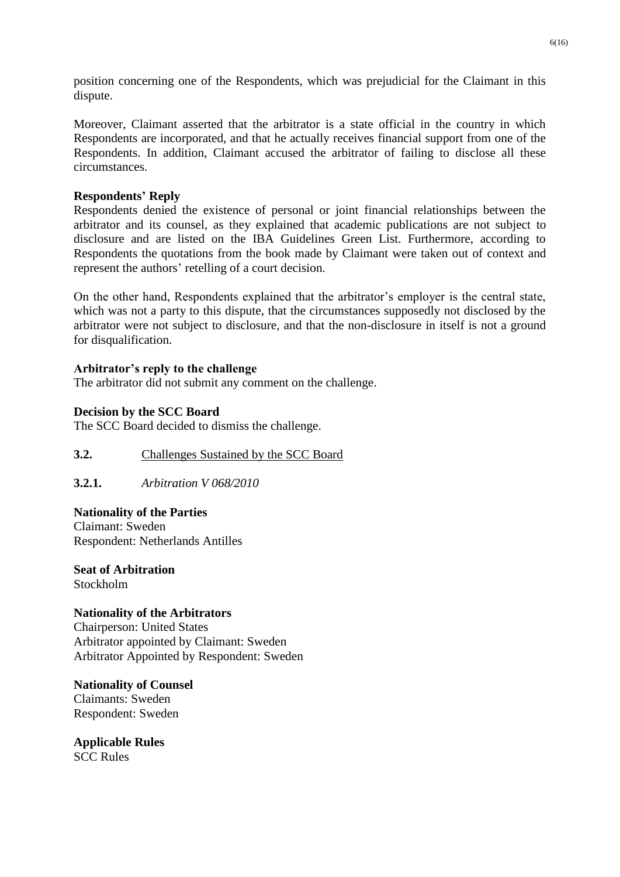position concerning one of the Respondents, which was prejudicial for the Claimant in this dispute.

Moreover, Claimant asserted that the arbitrator is a state official in the country in which Respondents are incorporated, and that he actually receives financial support from one of the Respondents. In addition, Claimant accused the arbitrator of failing to disclose all these circumstances.

## **Respondents' Reply**

Respondents denied the existence of personal or joint financial relationships between the arbitrator and its counsel, as they explained that academic publications are not subject to disclosure and are listed on the IBA Guidelines Green List. Furthermore, according to Respondents the quotations from the book made by Claimant were taken out of context and represent the authors' retelling of a court decision.

On the other hand, Respondents explained that the arbitrator's employer is the central state, which was not a party to this dispute, that the circumstances supposedly not disclosed by the arbitrator were not subject to disclosure, and that the non-disclosure in itself is not a ground for disqualification.

## **Arbitrator's reply to the challenge**

The arbitrator did not submit any comment on the challenge.

## **Decision by the SCC Board**

The SCC Board decided to dismiss the challenge.

## **3.2.** Challenges Sustained by the SCC Board

**3.2.1.** *Arbitration V 068/2010*

## **Nationality of the Parties**

Claimant: Sweden Respondent: Netherlands Antilles

**Seat of Arbitration** Stockholm

#### **Nationality of the Arbitrators**

Chairperson: United States Arbitrator appointed by Claimant: Sweden Arbitrator Appointed by Respondent: Sweden

**Nationality of Counsel** Claimants: Sweden Respondent: Sweden

**Applicable Rules** SCC Rules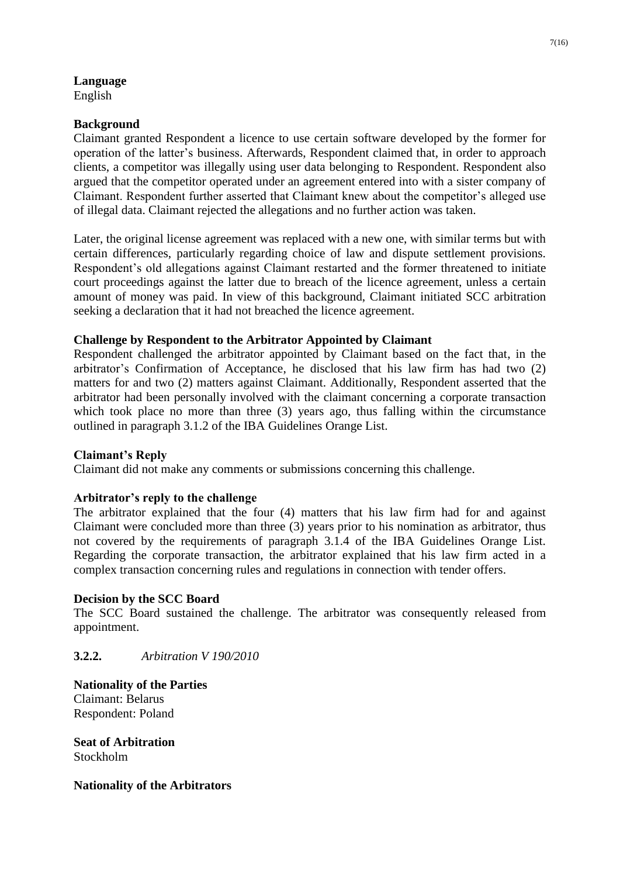# **Language**

English

## **Background**

Claimant granted Respondent a licence to use certain software developed by the former for operation of the latter's business. Afterwards, Respondent claimed that, in order to approach clients, a competitor was illegally using user data belonging to Respondent. Respondent also argued that the competitor operated under an agreement entered into with a sister company of Claimant. Respondent further asserted that Claimant knew about the competitor's alleged use of illegal data. Claimant rejected the allegations and no further action was taken.

Later, the original license agreement was replaced with a new one, with similar terms but with certain differences, particularly regarding choice of law and dispute settlement provisions. Respondent's old allegations against Claimant restarted and the former threatened to initiate court proceedings against the latter due to breach of the licence agreement, unless a certain amount of money was paid. In view of this background, Claimant initiated SCC arbitration seeking a declaration that it had not breached the licence agreement.

## **Challenge by Respondent to the Arbitrator Appointed by Claimant**

Respondent challenged the arbitrator appointed by Claimant based on the fact that, in the arbitrator's Confirmation of Acceptance, he disclosed that his law firm has had two (2) matters for and two (2) matters against Claimant. Additionally, Respondent asserted that the arbitrator had been personally involved with the claimant concerning a corporate transaction which took place no more than three (3) years ago, thus falling within the circumstance outlined in paragraph 3.1.2 of the IBA Guidelines Orange List.

## **Claimant's Reply**

Claimant did not make any comments or submissions concerning this challenge.

## **Arbitrator's reply to the challenge**

The arbitrator explained that the four (4) matters that his law firm had for and against Claimant were concluded more than three (3) years prior to his nomination as arbitrator, thus not covered by the requirements of paragraph 3.1.4 of the IBA Guidelines Orange List. Regarding the corporate transaction, the arbitrator explained that his law firm acted in a complex transaction concerning rules and regulations in connection with tender offers.

#### **Decision by the SCC Board**

The SCC Board sustained the challenge. The arbitrator was consequently released from appointment.

## **3.2.2.** *Arbitration V 190/2010*

**Nationality of the Parties** Claimant: Belarus Respondent: Poland

**Seat of Arbitration** Stockholm

**Nationality of the Arbitrators**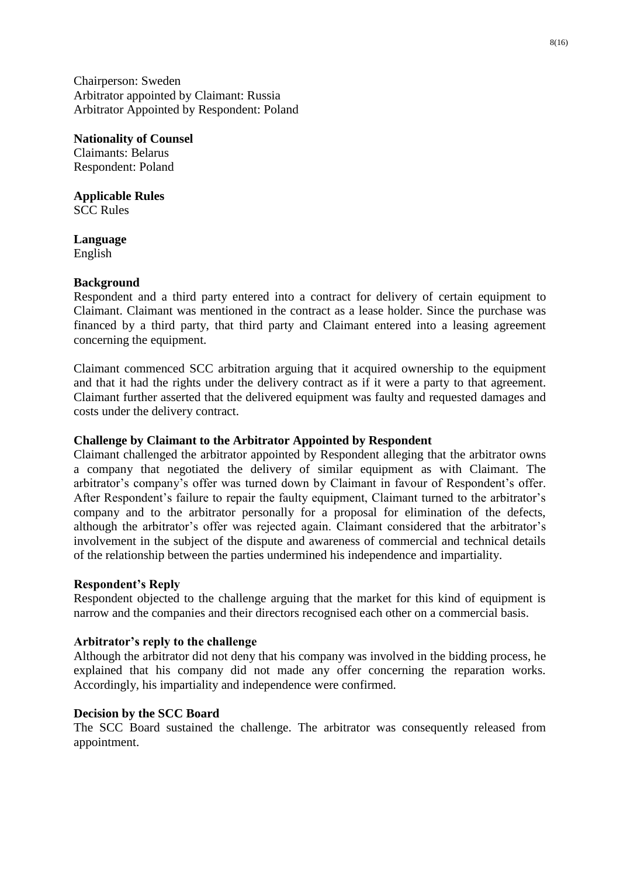Chairperson: Sweden Arbitrator appointed by Claimant: Russia Arbitrator Appointed by Respondent: Poland

**Nationality of Counsel** Claimants: Belarus Respondent: Poland

**Applicable Rules** SCC Rules

**Language** English

#### **Background**

Respondent and a third party entered into a contract for delivery of certain equipment to Claimant. Claimant was mentioned in the contract as a lease holder. Since the purchase was financed by a third party, that third party and Claimant entered into a leasing agreement concerning the equipment.

Claimant commenced SCC arbitration arguing that it acquired ownership to the equipment and that it had the rights under the delivery contract as if it were a party to that agreement. Claimant further asserted that the delivered equipment was faulty and requested damages and costs under the delivery contract.

#### **Challenge by Claimant to the Arbitrator Appointed by Respondent**

Claimant challenged the arbitrator appointed by Respondent alleging that the arbitrator owns a company that negotiated the delivery of similar equipment as with Claimant. The arbitrator's company's offer was turned down by Claimant in favour of Respondent's offer. After Respondent's failure to repair the faulty equipment, Claimant turned to the arbitrator's company and to the arbitrator personally for a proposal for elimination of the defects, although the arbitrator's offer was rejected again. Claimant considered that the arbitrator's involvement in the subject of the dispute and awareness of commercial and technical details of the relationship between the parties undermined his independence and impartiality.

#### **Respondent's Reply**

Respondent objected to the challenge arguing that the market for this kind of equipment is narrow and the companies and their directors recognised each other on a commercial basis.

#### **Arbitrator's reply to the challenge**

Although the arbitrator did not deny that his company was involved in the bidding process, he explained that his company did not made any offer concerning the reparation works. Accordingly, his impartiality and independence were confirmed.

#### **Decision by the SCC Board**

The SCC Board sustained the challenge. The arbitrator was consequently released from appointment.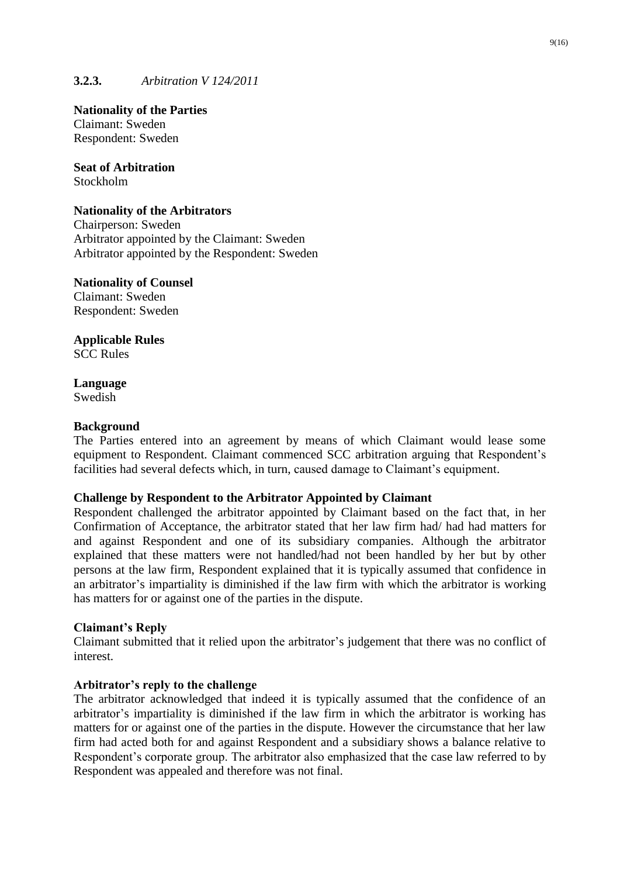## **3.2.3.** *Arbitration V 124/2011*

**Nationality of the Parties** Claimant: Sweden Respondent: Sweden

**Seat of Arbitration** Stockholm

#### **Nationality of the Arbitrators**

Chairperson: Sweden Arbitrator appointed by the Claimant: Sweden Arbitrator appointed by the Respondent: Sweden

## **Nationality of Counsel**

Claimant: Sweden Respondent: Sweden

#### **Applicable Rules** SCC Rules

#### **Language** Swedish

## **Background**

The Parties entered into an agreement by means of which Claimant would lease some equipment to Respondent. Claimant commenced SCC arbitration arguing that Respondent's facilities had several defects which, in turn, caused damage to Claimant's equipment.

## **Challenge by Respondent to the Arbitrator Appointed by Claimant**

Respondent challenged the arbitrator appointed by Claimant based on the fact that, in her Confirmation of Acceptance, the arbitrator stated that her law firm had/ had had matters for and against Respondent and one of its subsidiary companies. Although the arbitrator explained that these matters were not handled/had not been handled by her but by other persons at the law firm, Respondent explained that it is typically assumed that confidence in an arbitrator's impartiality is diminished if the law firm with which the arbitrator is working has matters for or against one of the parties in the dispute.

#### **Claimant's Reply**

Claimant submitted that it relied upon the arbitrator's judgement that there was no conflict of interest.

#### **Arbitrator's reply to the challenge**

The arbitrator acknowledged that indeed it is typically assumed that the confidence of an arbitrator's impartiality is diminished if the law firm in which the arbitrator is working has matters for or against one of the parties in the dispute. However the circumstance that her law firm had acted both for and against Respondent and a subsidiary shows a balance relative to Respondent's corporate group. The arbitrator also emphasized that the case law referred to by Respondent was appealed and therefore was not final.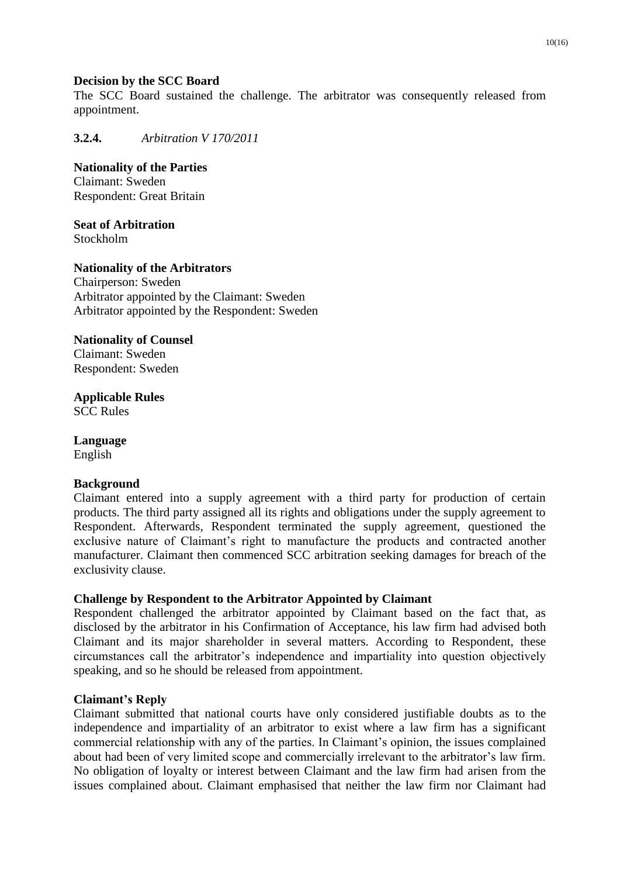#### **Decision by the SCC Board**

The SCC Board sustained the challenge. The arbitrator was consequently released from appointment.

**3.2.4.** *Arbitration V 170/2011*

**Nationality of the Parties** Claimant: Sweden Respondent: Great Britain

**Seat of Arbitration** Stockholm

**Nationality of the Arbitrators** Chairperson: Sweden Arbitrator appointed by the Claimant: Sweden Arbitrator appointed by the Respondent: Sweden

#### **Nationality of Counsel**

Claimant: Sweden Respondent: Sweden

**Applicable Rules** SCC Rules

**Language** English

#### **Background**

Claimant entered into a supply agreement with a third party for production of certain products. The third party assigned all its rights and obligations under the supply agreement to Respondent. Afterwards, Respondent terminated the supply agreement, questioned the exclusive nature of Claimant's right to manufacture the products and contracted another manufacturer. Claimant then commenced SCC arbitration seeking damages for breach of the exclusivity clause.

#### **Challenge by Respondent to the Arbitrator Appointed by Claimant**

Respondent challenged the arbitrator appointed by Claimant based on the fact that, as disclosed by the arbitrator in his Confirmation of Acceptance, his law firm had advised both Claimant and its major shareholder in several matters. According to Respondent, these circumstances call the arbitrator's independence and impartiality into question objectively speaking, and so he should be released from appointment.

#### **Claimant's Reply**

Claimant submitted that national courts have only considered justifiable doubts as to the independence and impartiality of an arbitrator to exist where a law firm has a significant commercial relationship with any of the parties. In Claimant's opinion, the issues complained about had been of very limited scope and commercially irrelevant to the arbitrator's law firm. No obligation of loyalty or interest between Claimant and the law firm had arisen from the issues complained about. Claimant emphasised that neither the law firm nor Claimant had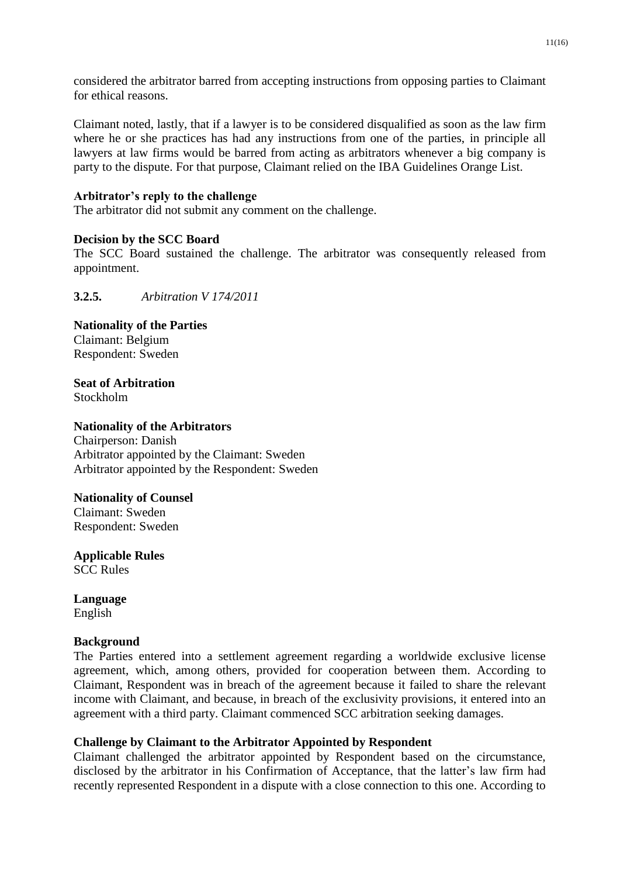considered the arbitrator barred from accepting instructions from opposing parties to Claimant for ethical reasons.

Claimant noted, lastly, that if a lawyer is to be considered disqualified as soon as the law firm where he or she practices has had any instructions from one of the parties, in principle all lawyers at law firms would be barred from acting as arbitrators whenever a big company is party to the dispute. For that purpose, Claimant relied on the IBA Guidelines Orange List.

## **Arbitrator's reply to the challenge**

The arbitrator did not submit any comment on the challenge.

#### **Decision by the SCC Board**

The SCC Board sustained the challenge. The arbitrator was consequently released from appointment.

**3.2.5.** *Arbitration V 174/2011*

**Nationality of the Parties** Claimant: Belgium Respondent: Sweden

**Seat of Arbitration** Stockholm

## **Nationality of the Arbitrators**

Chairperson: Danish Arbitrator appointed by the Claimant: Sweden Arbitrator appointed by the Respondent: Sweden

#### **Nationality of Counsel**

Claimant: Sweden Respondent: Sweden

**Applicable Rules** SCC Rules

**Language** English

#### **Background**

The Parties entered into a settlement agreement regarding a worldwide exclusive license agreement, which, among others, provided for cooperation between them. According to Claimant, Respondent was in breach of the agreement because it failed to share the relevant income with Claimant, and because, in breach of the exclusivity provisions, it entered into an agreement with a third party. Claimant commenced SCC arbitration seeking damages.

#### **Challenge by Claimant to the Arbitrator Appointed by Respondent**

Claimant challenged the arbitrator appointed by Respondent based on the circumstance, disclosed by the arbitrator in his Confirmation of Acceptance, that the latter's law firm had recently represented Respondent in a dispute with a close connection to this one. According to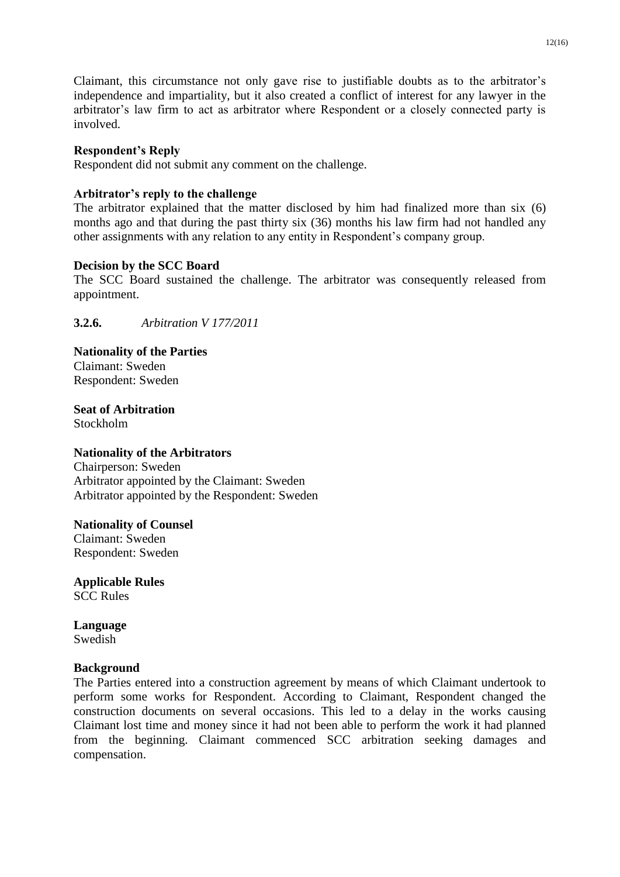Claimant, this circumstance not only gave rise to justifiable doubts as to the arbitrator's independence and impartiality, but it also created a conflict of interest for any lawyer in the arbitrator's law firm to act as arbitrator where Respondent or a closely connected party is involved.

## **Respondent's Reply**

Respondent did not submit any comment on the challenge.

## **Arbitrator's reply to the challenge**

The arbitrator explained that the matter disclosed by him had finalized more than six (6) months ago and that during the past thirty six (36) months his law firm had not handled any other assignments with any relation to any entity in Respondent's company group.

## **Decision by the SCC Board**

The SCC Board sustained the challenge. The arbitrator was consequently released from appointment.

**3.2.6.** *Arbitration V 177/2011*

**Nationality of the Parties** Claimant: Sweden Respondent: Sweden

**Seat of Arbitration** Stockholm

#### **Nationality of the Arbitrators**

Chairperson: Sweden Arbitrator appointed by the Claimant: Sweden Arbitrator appointed by the Respondent: Sweden

**Nationality of Counsel** Claimant: Sweden

Respondent: Sweden

**Applicable Rules** SCC Rules

**Language** Swedish

#### **Background**

The Parties entered into a construction agreement by means of which Claimant undertook to perform some works for Respondent. According to Claimant, Respondent changed the construction documents on several occasions. This led to a delay in the works causing Claimant lost time and money since it had not been able to perform the work it had planned from the beginning. Claimant commenced SCC arbitration seeking damages and compensation.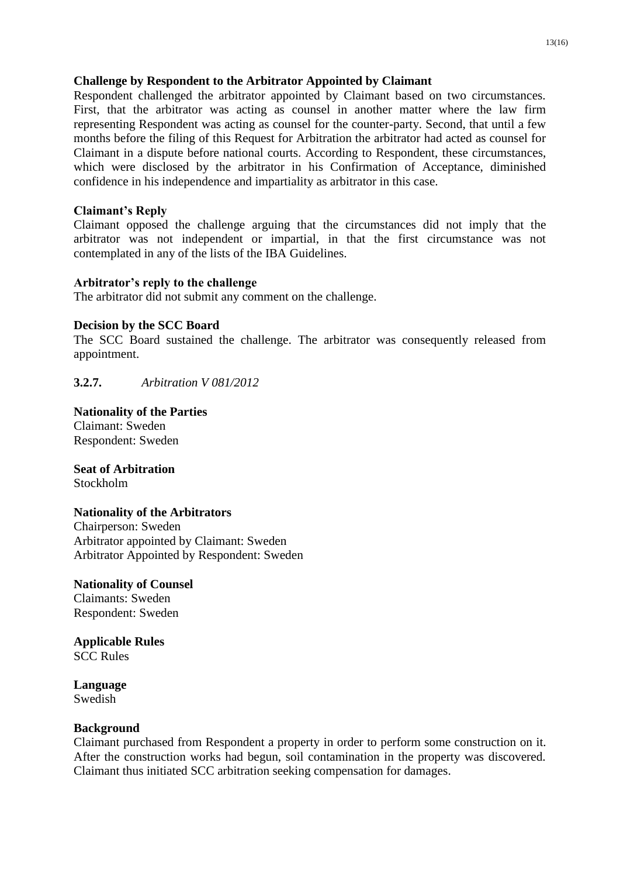## **Challenge by Respondent to the Arbitrator Appointed by Claimant**

Respondent challenged the arbitrator appointed by Claimant based on two circumstances. First, that the arbitrator was acting as counsel in another matter where the law firm representing Respondent was acting as counsel for the counter-party. Second, that until a few months before the filing of this Request for Arbitration the arbitrator had acted as counsel for Claimant in a dispute before national courts. According to Respondent, these circumstances, which were disclosed by the arbitrator in his Confirmation of Acceptance, diminished confidence in his independence and impartiality as arbitrator in this case.

## **Claimant's Reply**

Claimant opposed the challenge arguing that the circumstances did not imply that the arbitrator was not independent or impartial, in that the first circumstance was not contemplated in any of the lists of the IBA Guidelines.

## **Arbitrator's reply to the challenge**

The arbitrator did not submit any comment on the challenge.

## **Decision by the SCC Board**

The SCC Board sustained the challenge. The arbitrator was consequently released from appointment.

**3.2.7.** *Arbitration V 081/2012*

#### **Nationality of the Parties** Claimant: Sweden

Respondent: Sweden

**Seat of Arbitration** Stockholm

## **Nationality of the Arbitrators**

Chairperson: Sweden Arbitrator appointed by Claimant: Sweden Arbitrator Appointed by Respondent: Sweden

**Nationality of Counsel** Claimants: Sweden Respondent: Sweden

**Applicable Rules** SCC Rules

**Language** Swedish

#### **Background**

Claimant purchased from Respondent a property in order to perform some construction on it. After the construction works had begun, soil contamination in the property was discovered. Claimant thus initiated SCC arbitration seeking compensation for damages.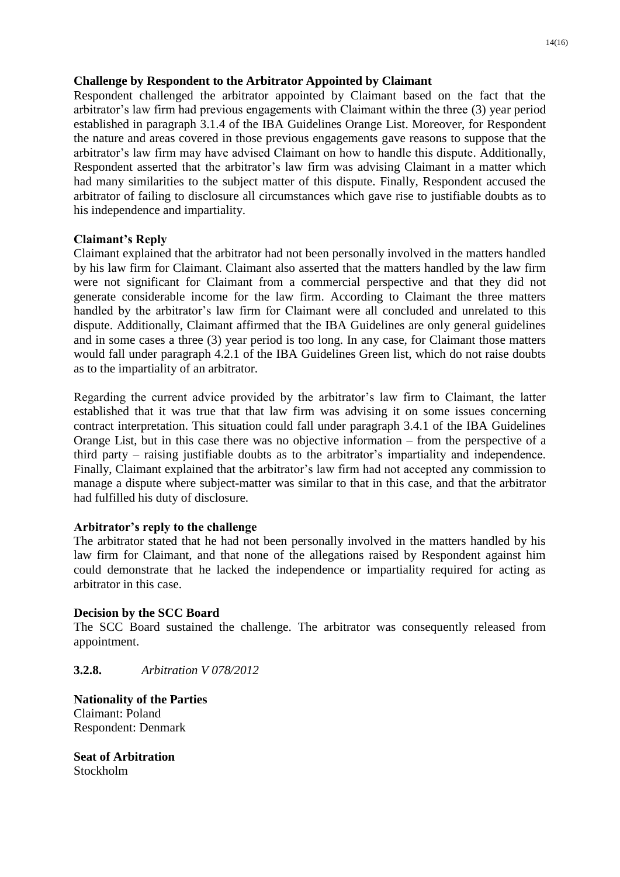## **Challenge by Respondent to the Arbitrator Appointed by Claimant**

Respondent challenged the arbitrator appointed by Claimant based on the fact that the arbitrator's law firm had previous engagements with Claimant within the three (3) year period established in paragraph 3.1.4 of the IBA Guidelines Orange List. Moreover, for Respondent the nature and areas covered in those previous engagements gave reasons to suppose that the arbitrator's law firm may have advised Claimant on how to handle this dispute. Additionally, Respondent asserted that the arbitrator's law firm was advising Claimant in a matter which had many similarities to the subject matter of this dispute. Finally, Respondent accused the arbitrator of failing to disclosure all circumstances which gave rise to justifiable doubts as to his independence and impartiality.

## **Claimant's Reply**

Claimant explained that the arbitrator had not been personally involved in the matters handled by his law firm for Claimant. Claimant also asserted that the matters handled by the law firm were not significant for Claimant from a commercial perspective and that they did not generate considerable income for the law firm. According to Claimant the three matters handled by the arbitrator's law firm for Claimant were all concluded and unrelated to this dispute. Additionally, Claimant affirmed that the IBA Guidelines are only general guidelines and in some cases a three (3) year period is too long. In any case, for Claimant those matters would fall under paragraph 4.2.1 of the IBA Guidelines Green list, which do not raise doubts as to the impartiality of an arbitrator.

Regarding the current advice provided by the arbitrator's law firm to Claimant, the latter established that it was true that that law firm was advising it on some issues concerning contract interpretation. This situation could fall under paragraph 3.4.1 of the IBA Guidelines Orange List, but in this case there was no objective information – from the perspective of a third party – raising justifiable doubts as to the arbitrator's impartiality and independence. Finally, Claimant explained that the arbitrator's law firm had not accepted any commission to manage a dispute where subject-matter was similar to that in this case, and that the arbitrator had fulfilled his duty of disclosure.

## **Arbitrator's reply to the challenge**

The arbitrator stated that he had not been personally involved in the matters handled by his law firm for Claimant, and that none of the allegations raised by Respondent against him could demonstrate that he lacked the independence or impartiality required for acting as arbitrator in this case.

#### **Decision by the SCC Board**

The SCC Board sustained the challenge. The arbitrator was consequently released from appointment.

**3.2.8.** *Arbitration V 078/2012*

**Nationality of the Parties** Claimant: Poland Respondent: Denmark

**Seat of Arbitration** Stockholm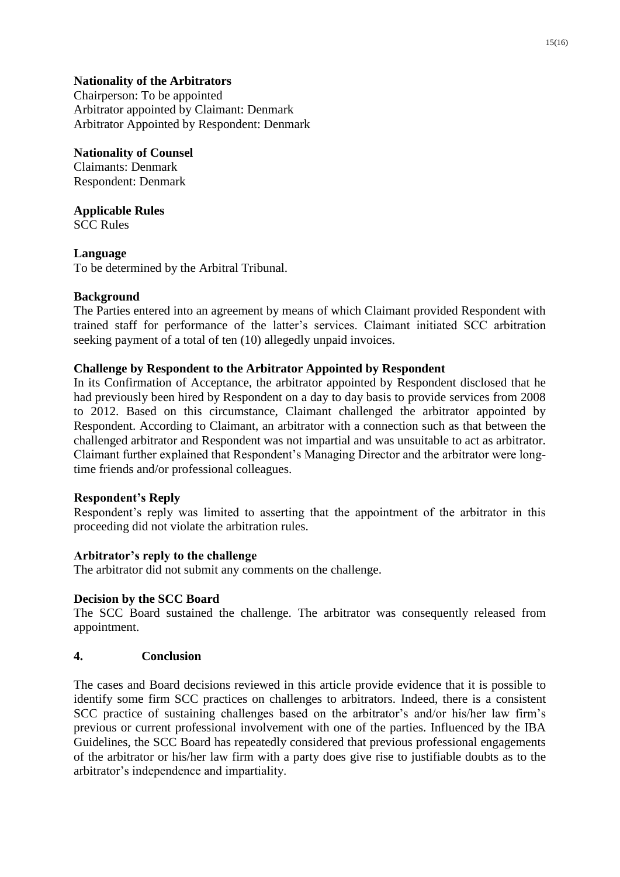## **Nationality of the Arbitrators**

Chairperson: To be appointed Arbitrator appointed by Claimant: Denmark Arbitrator Appointed by Respondent: Denmark

## **Nationality of Counsel**

Claimants: Denmark Respondent: Denmark

## **Applicable Rules**

SCC Rules

## **Language**

To be determined by the Arbitral Tribunal.

## **Background**

The Parties entered into an agreement by means of which Claimant provided Respondent with trained staff for performance of the latter's services. Claimant initiated SCC arbitration seeking payment of a total of ten (10) allegedly unpaid invoices.

## **Challenge by Respondent to the Arbitrator Appointed by Respondent**

In its Confirmation of Acceptance, the arbitrator appointed by Respondent disclosed that he had previously been hired by Respondent on a day to day basis to provide services from 2008 to 2012. Based on this circumstance, Claimant challenged the arbitrator appointed by Respondent. According to Claimant, an arbitrator with a connection such as that between the challenged arbitrator and Respondent was not impartial and was unsuitable to act as arbitrator. Claimant further explained that Respondent's Managing Director and the arbitrator were longtime friends and/or professional colleagues.

## **Respondent's Reply**

Respondent's reply was limited to asserting that the appointment of the arbitrator in this proceeding did not violate the arbitration rules.

## **Arbitrator's reply to the challenge**

The arbitrator did not submit any comments on the challenge.

## **Decision by the SCC Board**

The SCC Board sustained the challenge. The arbitrator was consequently released from appointment.

## **4. Conclusion**

The cases and Board decisions reviewed in this article provide evidence that it is possible to identify some firm SCC practices on challenges to arbitrators. Indeed, there is a consistent SCC practice of sustaining challenges based on the arbitrator's and/or his/her law firm's previous or current professional involvement with one of the parties. Influenced by the IBA Guidelines, the SCC Board has repeatedly considered that previous professional engagements of the arbitrator or his/her law firm with a party does give rise to justifiable doubts as to the arbitrator's independence and impartiality.